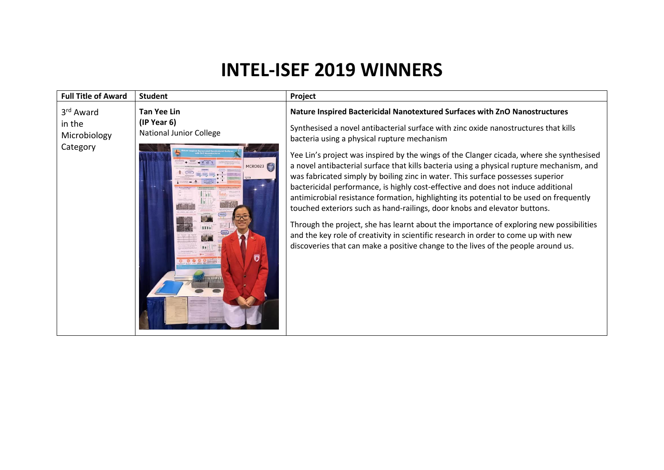## **INTEL-ISEF 2019 WINNERS**

| <b>Full Title of Award</b>                                  | <b>Student</b>                                                                          | Project                                                                                                                                                                                                                                                                                                                                                                                                                                                                                                                                                                                                                                                                                                                                                                                                                                                                                                                                                                                                                         |
|-------------------------------------------------------------|-----------------------------------------------------------------------------------------|---------------------------------------------------------------------------------------------------------------------------------------------------------------------------------------------------------------------------------------------------------------------------------------------------------------------------------------------------------------------------------------------------------------------------------------------------------------------------------------------------------------------------------------------------------------------------------------------------------------------------------------------------------------------------------------------------------------------------------------------------------------------------------------------------------------------------------------------------------------------------------------------------------------------------------------------------------------------------------------------------------------------------------|
| 3 <sup>rd</sup> Award<br>in the<br>Microbiology<br>Category | <b>Tan Yee Lin</b><br>(IP Year 6)<br><b>National Junior College</b><br>MCRO023 SEP<br>ฮ | Nature Inspired Bactericidal Nanotextured Surfaces with ZnO Nanostructures<br>Synthesised a novel antibacterial surface with zinc oxide nanostructures that kills<br>bacteria using a physical rupture mechanism<br>Yee Lin's project was inspired by the wings of the Clanger cicada, where she synthesised<br>a novel antibacterial surface that kills bacteria using a physical rupture mechanism, and<br>was fabricated simply by boiling zinc in water. This surface possesses superior<br>bactericidal performance, is highly cost-effective and does not induce additional<br>antimicrobial resistance formation, highlighting its potential to be used on frequently<br>touched exteriors such as hand-railings, door knobs and elevator buttons.<br>Through the project, she has learnt about the importance of exploring new possibilities<br>and the key role of creativity in scientific research in order to come up with new<br>discoveries that can make a positive change to the lives of the people around us. |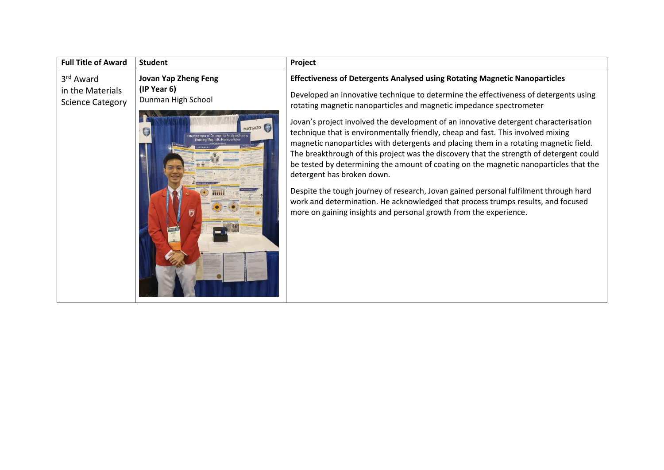| <b>Full Title of Award</b>                                           | <b>Student</b>                                                                                                       | Project                                                                                                                                                                                                                                                                                                                                                                                                                                                                                                                                                                                                                                                                                                                                                                                                                                                                                                                                                                                  |
|----------------------------------------------------------------------|----------------------------------------------------------------------------------------------------------------------|------------------------------------------------------------------------------------------------------------------------------------------------------------------------------------------------------------------------------------------------------------------------------------------------------------------------------------------------------------------------------------------------------------------------------------------------------------------------------------------------------------------------------------------------------------------------------------------------------------------------------------------------------------------------------------------------------------------------------------------------------------------------------------------------------------------------------------------------------------------------------------------------------------------------------------------------------------------------------------------|
| 3 <sup>rd</sup> Award<br>in the Materials<br><b>Science Category</b> | <b>Jovan Yap Zheng Feng</b><br>(IP Year 6)<br>Dunman High School<br><b>MATS020</b><br>雪<br>rgents Analysed usin<br>Б | <b>Effectiveness of Detergents Analysed using Rotating Magnetic Nanoparticles</b><br>Developed an innovative technique to determine the effectiveness of detergents using<br>rotating magnetic nanoparticles and magnetic impedance spectrometer<br>Jovan's project involved the development of an innovative detergent characterisation<br>technique that is environmentally friendly, cheap and fast. This involved mixing<br>magnetic nanoparticles with detergents and placing them in a rotating magnetic field.<br>The breakthrough of this project was the discovery that the strength of detergent could<br>be tested by determining the amount of coating on the magnetic nanoparticles that the<br>detergent has broken down.<br>Despite the tough journey of research, Jovan gained personal fulfilment through hard<br>work and determination. He acknowledged that process trumps results, and focused<br>more on gaining insights and personal growth from the experience. |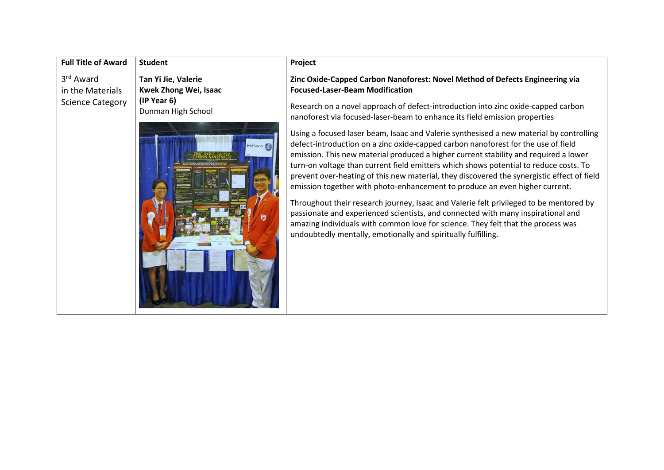| <b>Full Title of Award</b>                                           | <b>Student</b>                                                                                       | Project                                                                                                                                                                                                                                                                                                                                                                                                                                                                                                                                                                                                                                                                                                                                                                                                                                                                                                                                                                                                                                                                                                                                                                    |
|----------------------------------------------------------------------|------------------------------------------------------------------------------------------------------|----------------------------------------------------------------------------------------------------------------------------------------------------------------------------------------------------------------------------------------------------------------------------------------------------------------------------------------------------------------------------------------------------------------------------------------------------------------------------------------------------------------------------------------------------------------------------------------------------------------------------------------------------------------------------------------------------------------------------------------------------------------------------------------------------------------------------------------------------------------------------------------------------------------------------------------------------------------------------------------------------------------------------------------------------------------------------------------------------------------------------------------------------------------------------|
| 3 <sup>rd</sup> Award<br>in the Materials<br><b>Science Category</b> | Tan Yi Jie, Valerie<br><b>Kwek Zhong Wei, Isaac</b><br>(IP Year 6)<br>Dunman High School<br>MATS027T | Zinc Oxide-Capped Carbon Nanoforest: Novel Method of Defects Engineering via<br><b>Focused-Laser-Beam Modification</b><br>Research on a novel approach of defect-introduction into zinc oxide-capped carbon<br>nanoforest via focused-laser-beam to enhance its field emission properties<br>Using a focused laser beam, Isaac and Valerie synthesised a new material by controlling<br>defect-introduction on a zinc oxide-capped carbon nanoforest for the use of field<br>emission. This new material produced a higher current stability and required a lower<br>turn-on voltage than current field emitters which shows potential to reduce costs. To<br>prevent over-heating of this new material, they discovered the synergistic effect of field<br>emission together with photo-enhancement to produce an even higher current.<br>Throughout their research journey, Isaac and Valerie felt privileged to be mentored by<br>passionate and experienced scientists, and connected with many inspirational and<br>amazing individuals with common love for science. They felt that the process was<br>undoubtedly mentally, emotionally and spiritually fulfilling. |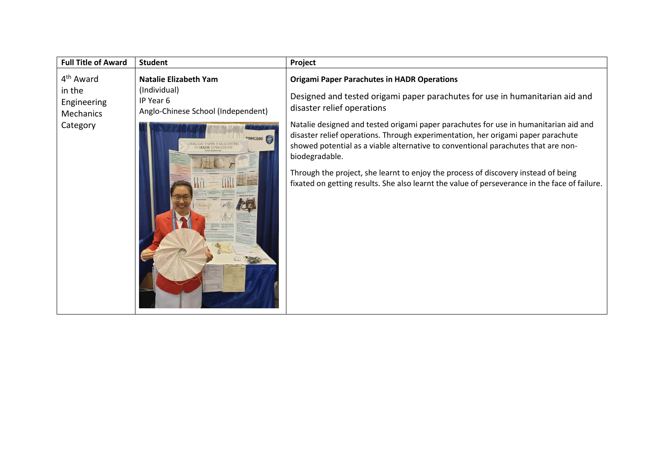| <b>Full Title of Award</b>                                              | <b>Student</b>                                                                                                                                              | Project                                                                                                                                                                                                                                                                                                                                                                                                                                                                                                                                                                                                                                    |
|-------------------------------------------------------------------------|-------------------------------------------------------------------------------------------------------------------------------------------------------------|--------------------------------------------------------------------------------------------------------------------------------------------------------------------------------------------------------------------------------------------------------------------------------------------------------------------------------------------------------------------------------------------------------------------------------------------------------------------------------------------------------------------------------------------------------------------------------------------------------------------------------------------|
| 4 <sup>th</sup> Award<br>in the<br>Engineering<br>Mechanics<br>Category | Natalie Elizabeth Yam<br>(Individual)<br>IP Year 6<br>Anglo-Chinese School (Independent)<br>FNMC030<br><b>RIGAMI PAPER PARACHUTES</b><br>IN HADR OPERATIONS | <b>Origami Paper Parachutes in HADR Operations</b><br>Designed and tested origami paper parachutes for use in humanitarian aid and<br>disaster relief operations<br>Natalie designed and tested origami paper parachutes for use in humanitarian aid and<br>disaster relief operations. Through experimentation, her origami paper parachute<br>showed potential as a viable alternative to conventional parachutes that are non-<br>biodegradable.<br>Through the project, she learnt to enjoy the process of discovery instead of being<br>fixated on getting results. She also learnt the value of perseverance in the face of failure. |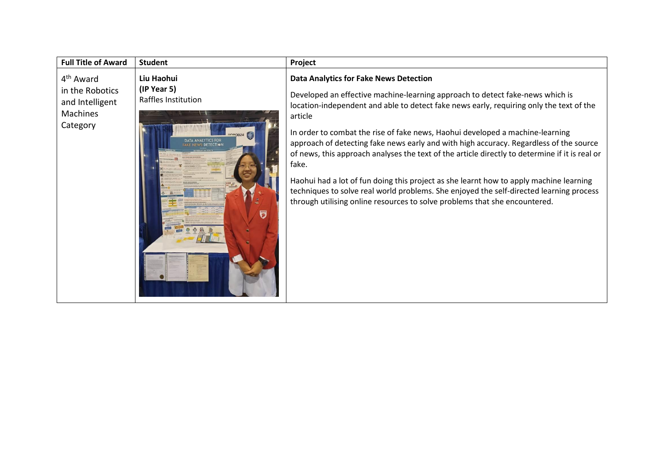| <b>Full Title of Award</b>                                                                 | <b>Student</b>                                                                                                       | Project                                                                                                                                                                                                                                                                                                                                                                                                                                                                                                                                                                                                                                                                                                                                                                                       |
|--------------------------------------------------------------------------------------------|----------------------------------------------------------------------------------------------------------------------|-----------------------------------------------------------------------------------------------------------------------------------------------------------------------------------------------------------------------------------------------------------------------------------------------------------------------------------------------------------------------------------------------------------------------------------------------------------------------------------------------------------------------------------------------------------------------------------------------------------------------------------------------------------------------------------------------------------------------------------------------------------------------------------------------|
| 4 <sup>th</sup> Award<br>in the Robotics<br>and Intelligent<br><b>Machines</b><br>Category | Liu Haohui<br>(IP Year 5)<br>Raffles Institution<br>DATA ANALYTICS FOR<br><b>S DETECTION</b><br>$\overline{\bullet}$ | <b>Data Analytics for Fake News Detection</b><br>Developed an effective machine-learning approach to detect fake-news which is<br>location-independent and able to detect fake news early, requiring only the text of the<br>article<br>In order to combat the rise of fake news, Haohui developed a machine-learning<br>approach of detecting fake news early and with high accuracy. Regardless of the source<br>of news, this approach analyses the text of the article directly to determine if it is real or<br>fake.<br>Haohui had a lot of fun doing this project as she learnt how to apply machine learning<br>techniques to solve real world problems. She enjoyed the self-directed learning process<br>through utilising online resources to solve problems that she encountered. |